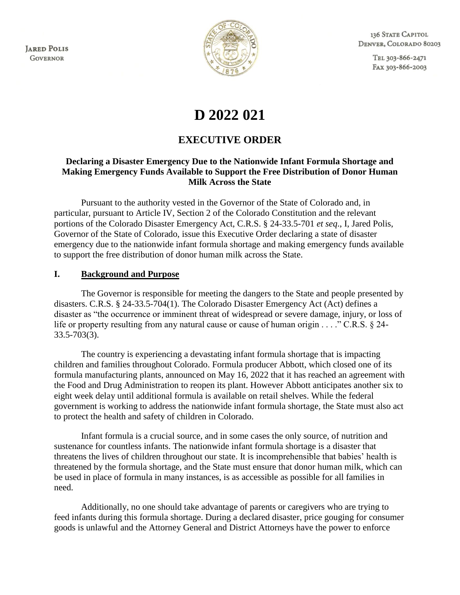**JARED POLIS GOVERNOR** 



136 STATE CAPITOL DENVER, COLORADO 80203

> TEL 303-866-2471 FAX 303-866-2003

# **D 2022 021**

## **EXECUTIVE ORDER**

#### **Declaring a Disaster Emergency Due to the Nationwide Infant Formula Shortage and Making Emergency Funds Available to Support the Free Distribution of Donor Human Milk Across the State**

Pursuant to the authority vested in the Governor of the State of Colorado and, in particular, pursuant to Article IV, Section 2 of the Colorado Constitution and the relevant portions of the Colorado Disaster Emergency Act, C.R.S. § 24-33.5-701 *et seq*., I, Jared Polis, Governor of the State of Colorado, issue this Executive Order declaring a state of disaster emergency due to the nationwide infant formula shortage and making emergency funds available to support the free distribution of donor human milk across the State.

#### **I. Background and Purpose**

The Governor is responsible for meeting the dangers to the State and people presented by disasters. C.R.S. § 24-33.5-704(1). The Colorado Disaster Emergency Act (Act) defines a disaster as "the occurrence or imminent threat of widespread or severe damage, injury, or loss of life or property resulting from any natural cause or cause of human origin . . . ." C.R.S. § 24-33.5-703(3).

The country is experiencing a devastating infant formula shortage that is impacting children and families throughout Colorado. Formula producer Abbott, which closed one of its formula manufacturing plants, announced on May 16, 2022 that it has reached an agreement with the Food and Drug Administration to reopen its plant. However Abbott anticipates another six to eight week delay until additional formula is available on retail shelves. While the federal government is working to address the nationwide infant formula shortage, the State must also act to protect the health and safety of children in Colorado.

Infant formula is a crucial source, and in some cases the only source, of nutrition and sustenance for countless infants. The nationwide infant formula shortage is a disaster that threatens the lives of children throughout our state. It is incomprehensible that babies' health is threatened by the formula shortage, and the State must ensure that donor human milk, which can be used in place of formula in many instances, is as accessible as possible for all families in need.

Additionally, no one should take advantage of parents or caregivers who are trying to feed infants during this formula shortage. During a declared disaster, price gouging for consumer goods is unlawful and the Attorney General and District Attorneys have the power to enforce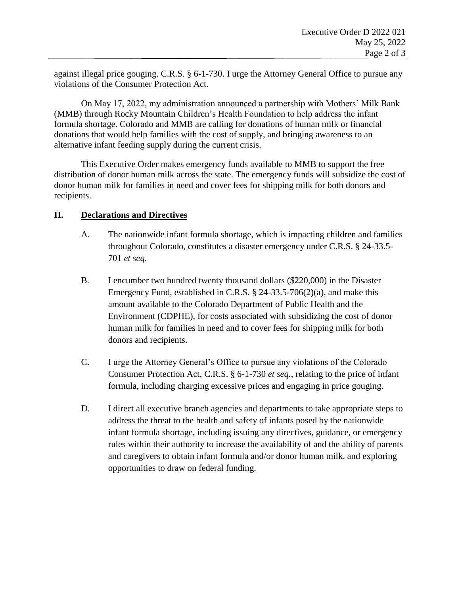against illegal price gouging. C.R.S. § 6-1-730. I urge the Attorney General Office to pursue any violations of the Consumer Protection Act.

On May 17, 2022, my administration announced a partnership with Mothers' Milk Bank (MMB) through Rocky Mountain Children's Health Foundation to help address the infant formula shortage. Colorado and MMB are calling for donations of human milk or financial donations that would help families with the cost of supply, and bringing awareness to an alternative infant feeding supply during the current crisis.

This Executive Order makes emergency funds available to MMB to support the free distribution of donor human milk across the state. The emergency funds will subsidize the cost of donor human milk for families in need and cover fees for shipping milk for both donors and recipients.

#### **II. Declarations and Directives**

- A. The nationwide infant formula shortage, which is impacting children and families throughout Colorado, constitutes a disaster emergency under C.R.S. § 24-33.5- 701 *et seq*.
- B. I encumber two hundred twenty thousand dollars (\$220,000) in the Disaster Emergency Fund, established in C.R.S. § 24-33.5-706(2)(a), and make this amount available to the Colorado Department of Public Health and the Environment (CDPHE), for costs associated with subsidizing the cost of donor human milk for families in need and to cover fees for shipping milk for both donors and recipients.
- C. I urge the Attorney General's Office to pursue any violations of the Colorado Consumer Protection Act, C.R.S. § 6-1-730 *et seq.*, relating to the price of infant formula, including charging excessive prices and engaging in price gouging.
- D. I direct all executive branch agencies and departments to take appropriate steps to address the threat to the health and safety of infants posed by the nationwide infant formula shortage, including issuing any directives, guidance, or emergency rules within their authority to increase the availability of and the ability of parents and caregivers to obtain infant formula and/or donor human milk, and exploring opportunities to draw on federal funding.